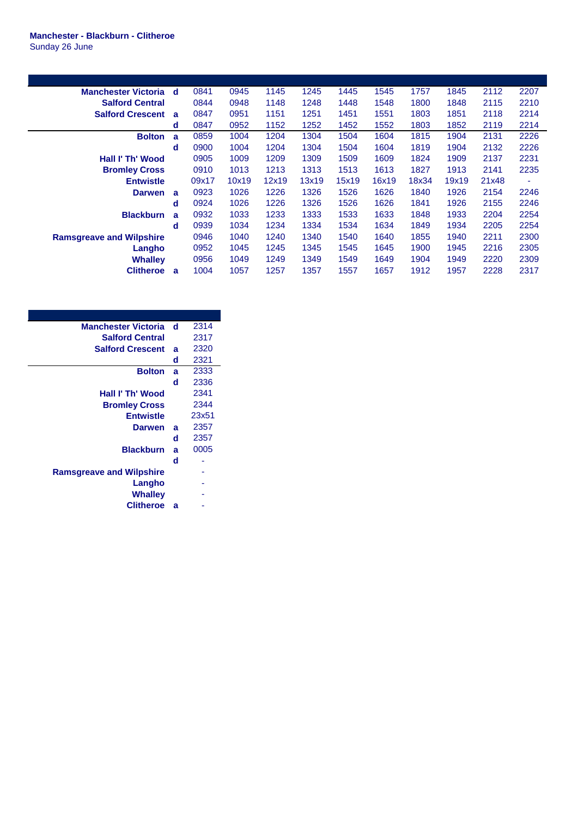## **Manchester - Blackburn - Clitheroe** Sunday 26 June

| <b>Manchester Victoria d</b>    |   | 0841  | 0945  | 1145  | 1245  | 1445  | 1545  | 1757  | 1845  | 2112  | 2207 |
|---------------------------------|---|-------|-------|-------|-------|-------|-------|-------|-------|-------|------|
| <b>Salford Central</b>          |   | 0844  | 0948  | 1148  | 1248  | 1448  | 1548  | 1800  | 1848  | 2115  | 2210 |
| <b>Salford Crescent</b>         | a | 0847  | 0951  | 1151  | 1251  | 1451  | 1551  | 1803  | 1851  | 2118  | 2214 |
|                                 | d | 0847  | 0952  | 1152  | 1252  | 1452  | 1552  | 1803  | 1852  | 2119  | 2214 |
| <b>Bolton</b>                   | a | 0859  | 1004  | 1204  | 1304  | 1504  | 1604  | 1815  | 1904  | 2131  | 2226 |
|                                 | d | 0900  | 1004  | 1204  | 1304  | 1504  | 1604  | 1819  | 1904  | 2132  | 2226 |
| Hall I' Th' Wood                |   | 0905  | 1009  | 1209  | 1309  | 1509  | 1609  | 1824  | 1909  | 2137  | 2231 |
| <b>Bromley Cross</b>            |   | 0910  | 1013  | 1213  | 1313  | 1513  | 1613  | 1827  | 1913  | 2141  | 2235 |
| <b>Entwistle</b>                |   | 09x17 | 10x19 | 12x19 | 13x19 | 15x19 | 16x19 | 18x34 | 19x19 | 21x48 |      |
|                                 |   |       |       |       |       |       |       |       |       |       | ٠    |
| <b>Darwen</b>                   | a | 0923  | 1026  | 1226  | 1326  | 1526  | 1626  | 1840  | 1926  | 2154  | 2246 |
|                                 | d | 0924  | 1026  | 1226  | 1326  | 1526  | 1626  | 1841  | 1926  | 2155  | 2246 |
| <b>Blackburn</b>                | a | 0932  | 1033  | 1233  | 1333  | 1533  | 1633  | 1848  | 1933  | 2204  | 2254 |
|                                 | d | 0939  | 1034  | 1234  | 1334  | 1534  | 1634  | 1849  | 1934  | 2205  | 2254 |
| <b>Ramsgreave and Wilpshire</b> |   | 0946  | 1040  | 1240  | 1340  | 1540  | 1640  | 1855  | 1940  | 2211  | 2300 |
| Langho                          |   | 0952  | 1045  | 1245  | 1345  | 1545  | 1645  | 1900  | 1945  | 2216  | 2305 |
| <b>Whalley</b>                  |   | 0956  | 1049  | 1249  | 1349  | 1549  | 1649  | 1904  | 1949  | 2220  | 2309 |

| <b>Manchester Victoria</b>      | d | 2314  |
|---------------------------------|---|-------|
| <b>Salford Central</b>          |   | 2317  |
| <b>Salford Crescent</b>         | a | 2320  |
|                                 | d | 2321  |
| <b>Bolton</b>                   | a | 2333  |
|                                 | d | 2336  |
| Hall I' Th' Wood                |   | 2341  |
| <b>Bromley Cross</b>            |   | 2344  |
| <b>Entwistle</b>                |   | 23x51 |
| <b>Darwen</b>                   | a | 2357  |
|                                 | d | 2357  |
| <b>Blackburn</b>                | a | 0005  |
|                                 | d |       |
| <b>Ramsgreave and Wilpshire</b> |   |       |
| Langho                          |   |       |
| Whallev                         |   |       |
| <b>Clitheroe</b>                | a |       |